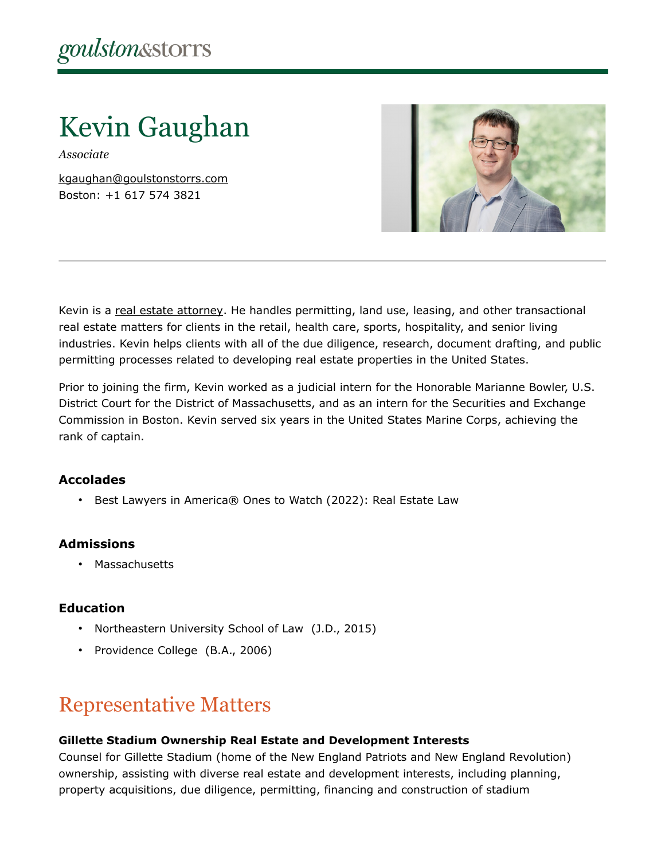Kevin Gaughan

*Associate*

[kgaughan@goulstonstorrs.com](mailto:kgaughan@goulstonstorrs.com) Boston: +1 617 574 3821



Kevin is a [real estate attorney.](https://www.goulstonstorrs.com/real-estate/) He handles permitting, land use, leasing, and other transactional real estate matters for clients in the retail, health care, sports, hospitality, and senior living industries. Kevin helps clients with all of the due diligence, research, document drafting, and public permitting processes related to developing real estate properties in the United States.

Prior to joining the firm, Kevin worked as a judicial intern for the Honorable Marianne Bowler, U.S. District Court for the District of Massachusetts, and as an intern for the Securities and Exchange Commission in Boston. Kevin served six years in the United States Marine Corps, achieving the rank of captain.

### **Accolades**

• Best Lawyers in America® Ones to Watch (2022): Real Estate Law

### **Admissions**

• Massachusetts

### **Education**

- Northeastern University School of Law (J.D., 2015)
- Providence College (B.A., 2006)

## Representative Matters

### **Gillette Stadium Ownership Real Estate and Development Interests**

Counsel for Gillette Stadium (home of the New England Patriots and New England Revolution) ownership, assisting with diverse real estate and development interests, including planning, property acquisitions, due diligence, permitting, financing and construction of stadium